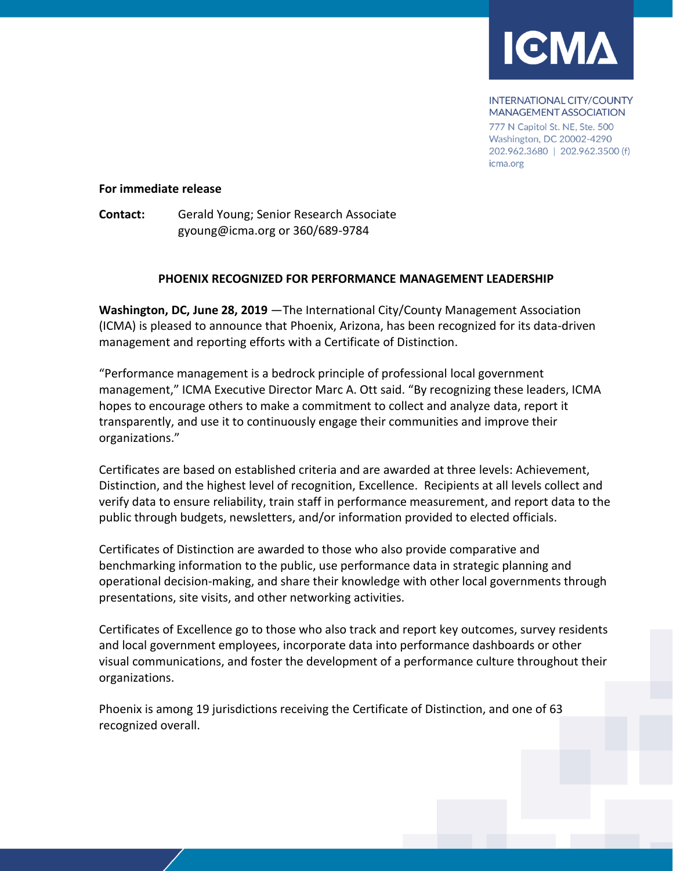

**INTERNATIONAL CITY/COUNTY MANAGEMENT ASSOCIATION** 

777 N Capitol St. NE, Ste. 500 Washington, DC 20002-4290 202.962.3680 | 202.962.3500 (f) icma.org

## **For immediate release**

**Contact:** Gerald Young; Senior Research Associate gyoung@icma.org or 360/689-9784

## **PHOENIX RECOGNIZED FOR PERFORMANCE MANAGEMENT LEADERSHIP**

**Washington, DC, June 28, 2019** —The International City/County Management Association (ICMA) is pleased to announce that Phoenix, Arizona, has been recognized for its data-driven management and reporting efforts with a Certificate of Distinction.

"Performance management is a bedrock principle of professional local government management," ICMA Executive Director Marc A. Ott said. "By recognizing these leaders, ICMA hopes to encourage others to make a commitment to collect and analyze data, report it transparently, and use it to continuously engage their communities and improve their organizations."

Certificates are based on established criteria and are awarded at three levels: Achievement, Distinction, and the highest level of recognition, Excellence. Recipients at all levels collect and verify data to ensure reliability, train staff in performance measurement, and report data to the public through budgets, newsletters, and/or information provided to elected officials.

Certificates of Distinction are awarded to those who also provide comparative and benchmarking information to the public, use performance data in strategic planning and operational decision-making, and share their knowledge with other local governments through presentations, site visits, and other networking activities.

Certificates of Excellence go to those who also track and report key outcomes, survey residents and local government employees, incorporate data into performance dashboards or other visual communications, and foster the development of a performance culture throughout their organizations.

Phoenix is among 19 jurisdictions receiving the Certificate of Distinction, and one of 63 recognized overall.